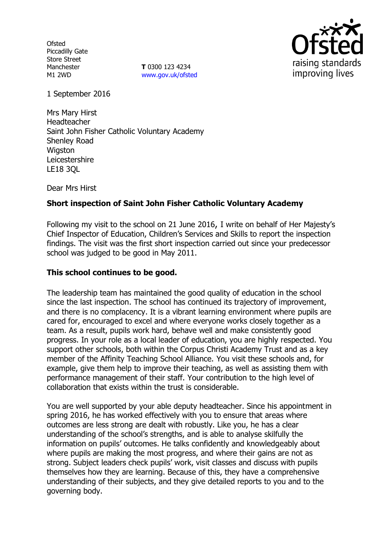**Ofsted** Piccadilly Gate Store Street Manchester M1 2WD

**T** 0300 123 4234 [www.gov.uk/ofsted](http://www.gov.uk/ofsted)



1 September 2016

Mrs Mary Hirst Headteacher Saint John Fisher Catholic Voluntary Academy Shenley Road Wigston Leicestershire LE18 3QL

Dear Mrs Hirst

# **Short inspection of Saint John Fisher Catholic Voluntary Academy**

Following my visit to the school on 21 June 2016, I write on behalf of Her Majesty's Chief Inspector of Education, Children's Services and Skills to report the inspection findings. The visit was the first short inspection carried out since your predecessor school was judged to be good in May 2011.

#### **This school continues to be good.**

The leadership team has maintained the good quality of education in the school since the last inspection. The school has continued its trajectory of improvement, and there is no complacency. It is a vibrant learning environment where pupils are cared for, encouraged to excel and where everyone works closely together as a team. As a result, pupils work hard, behave well and make consistently good progress. In your role as a local leader of education, you are highly respected. You support other schools, both within the Corpus Christi Academy Trust and as a key member of the Affinity Teaching School Alliance. You visit these schools and, for example, give them help to improve their teaching, as well as assisting them with performance management of their staff. Your contribution to the high level of collaboration that exists within the trust is considerable.

You are well supported by your able deputy headteacher. Since his appointment in spring 2016, he has worked effectively with you to ensure that areas where outcomes are less strong are dealt with robustly. Like you, he has a clear understanding of the school's strengths, and is able to analyse skilfully the information on pupils' outcomes. He talks confidently and knowledgeably about where pupils are making the most progress, and where their gains are not as strong. Subject leaders check pupils' work, visit classes and discuss with pupils themselves how they are learning. Because of this, they have a comprehensive understanding of their subjects, and they give detailed reports to you and to the governing body.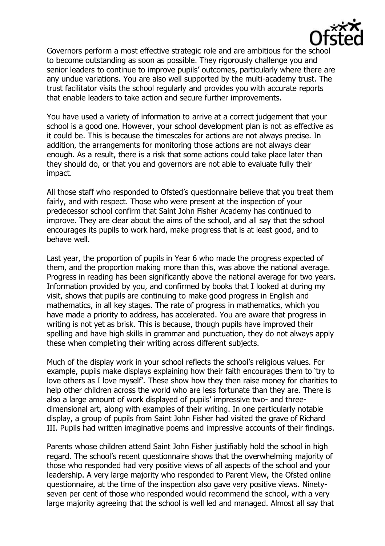

Governors perform a most effective strategic role and are ambitious for the school to become outstanding as soon as possible. They rigorously challenge you and senior leaders to continue to improve pupils' outcomes, particularly where there are any undue variations. You are also well supported by the multi-academy trust. The trust facilitator visits the school regularly and provides you with accurate reports that enable leaders to take action and secure further improvements.

You have used a variety of information to arrive at a correct judgement that your school is a good one. However, your school development plan is not as effective as it could be. This is because the timescales for actions are not always precise. In addition, the arrangements for monitoring those actions are not always clear enough. As a result, there is a risk that some actions could take place later than they should do, or that you and governors are not able to evaluate fully their impact.

All those staff who responded to Ofsted's questionnaire believe that you treat them fairly, and with respect. Those who were present at the inspection of your predecessor school confirm that Saint John Fisher Academy has continued to improve. They are clear about the aims of the school, and all say that the school encourages its pupils to work hard, make progress that is at least good, and to behave well.

Last year, the proportion of pupils in Year 6 who made the progress expected of them, and the proportion making more than this, was above the national average. Progress in reading has been significantly above the national average for two years. Information provided by you, and confirmed by books that I looked at during my visit, shows that pupils are continuing to make good progress in English and mathematics, in all key stages. The rate of progress in mathematics, which you have made a priority to address, has accelerated. You are aware that progress in writing is not yet as brisk. This is because, though pupils have improved their spelling and have high skills in grammar and punctuation, they do not always apply these when completing their writing across different subjects.

Much of the display work in your school reflects the school's religious values. For example, pupils make displays explaining how their faith encourages them to 'try to love others as I love myself'. These show how they then raise money for charities to help other children across the world who are less fortunate than they are. There is also a large amount of work displayed of pupils' impressive two- and threedimensional art, along with examples of their writing. In one particularly notable display, a group of pupils from Saint John Fisher had visited the grave of Richard III. Pupils had written imaginative poems and impressive accounts of their findings.

Parents whose children attend Saint John Fisher justifiably hold the school in high regard. The school's recent questionnaire shows that the overwhelming majority of those who responded had very positive views of all aspects of the school and your leadership. A very large majority who responded to Parent View, the Ofsted online questionnaire, at the time of the inspection also gave very positive views. Ninetyseven per cent of those who responded would recommend the school, with a very large majority agreeing that the school is well led and managed. Almost all say that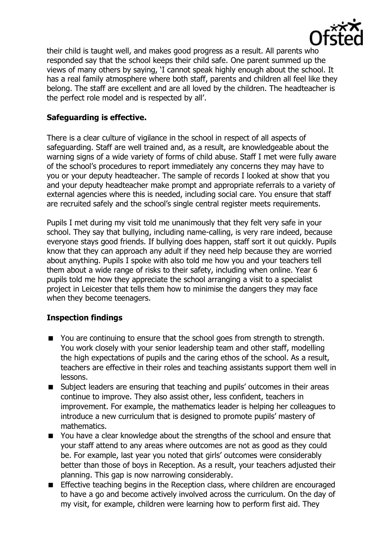

their child is taught well, and makes good progress as a result. All parents who responded say that the school keeps their child safe. One parent summed up the views of many others by saying, 'I cannot speak highly enough about the school. It has a real family atmosphere where both staff, parents and children all feel like they belong. The staff are excellent and are all loved by the children. The headteacher is the perfect role model and is respected by all'.

### **Safeguarding is effective.**

There is a clear culture of vigilance in the school in respect of all aspects of safeguarding. Staff are well trained and, as a result, are knowledgeable about the warning signs of a wide variety of forms of child abuse. Staff I met were fully aware of the school's procedures to report immediately any concerns they may have to you or your deputy headteacher. The sample of records I looked at show that you and your deputy headteacher make prompt and appropriate referrals to a variety of external agencies where this is needed, including social care. You ensure that staff are recruited safely and the school's single central register meets requirements.

Pupils I met during my visit told me unanimously that they felt very safe in your school. They say that bullying, including name-calling, is very rare indeed, because everyone stays good friends. If bullying does happen, staff sort it out quickly. Pupils know that they can approach any adult if they need help because they are worried about anything. Pupils I spoke with also told me how you and your teachers tell them about a wide range of risks to their safety, including when online. Year 6 pupils told me how they appreciate the school arranging a visit to a specialist project in Leicester that tells them how to minimise the dangers they may face when they become teenagers.

# **Inspection findings**

- You are continuing to ensure that the school goes from strength to strength. You work closely with your senior leadership team and other staff, modelling the high expectations of pupils and the caring ethos of the school. As a result, teachers are effective in their roles and teaching assistants support them well in lessons.
- Subject leaders are ensuring that teaching and pupils' outcomes in their areas continue to improve. They also assist other, less confident, teachers in improvement. For example, the mathematics leader is helping her colleagues to introduce a new curriculum that is designed to promote pupils' mastery of mathematics.
- You have a clear knowledge about the strengths of the school and ensure that your staff attend to any areas where outcomes are not as good as they could be. For example, last year you noted that girls' outcomes were considerably better than those of boys in Reception. As a result, your teachers adjusted their planning. This gap is now narrowing considerably.
- **Effective teaching begins in the Reception class, where children are encouraged** to have a go and become actively involved across the curriculum. On the day of my visit, for example, children were learning how to perform first aid. They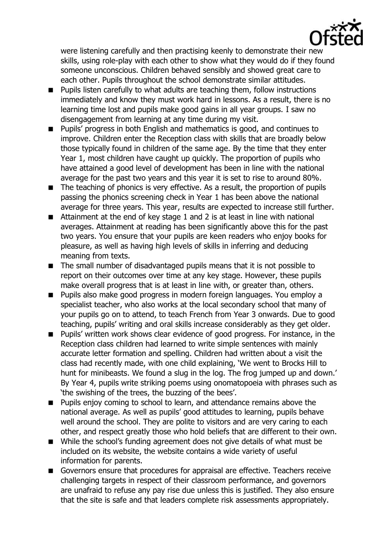

were listening carefully and then practising keenly to demonstrate their new skills, using role-play with each other to show what they would do if they found someone unconscious. Children behaved sensibly and showed great care to each other. Pupils throughout the school demonstrate similar attitudes.

- **Pupils listen carefully to what adults are teaching them, follow instructions** immediately and know they must work hard in lessons. As a result, there is no learning time lost and pupils make good gains in all year groups. I saw no disengagement from learning at any time during my visit.
- **Pupils' progress in both English and mathematics is good, and continues to** improve. Children enter the Reception class with skills that are broadly below those typically found in children of the same age. By the time that they enter Year 1, most children have caught up quickly. The proportion of pupils who have attained a good level of development has been in line with the national average for the past two years and this year it is set to rise to around 80%.
- The teaching of phonics is very effective. As a result, the proportion of pupils passing the phonics screening check in Year 1 has been above the national average for three years. This year, results are expected to increase still further.
- Attainment at the end of key stage 1 and 2 is at least in line with national averages. Attainment at reading has been significantly above this for the past two years. You ensure that your pupils are keen readers who enjoy books for pleasure, as well as having high levels of skills in inferring and deducing meaning from texts.
- The small number of disadvantaged pupils means that it is not possible to report on their outcomes over time at any key stage. However, these pupils make overall progress that is at least in line with, or greater than, others.
- Pupils also make good progress in modern foreign languages. You employ a specialist teacher, who also works at the local secondary school that many of your pupils go on to attend, to teach French from Year 3 onwards. Due to good teaching, pupils' writing and oral skills increase considerably as they get older.
- **Pupils'** written work shows clear evidence of good progress. For instance, in the Reception class children had learned to write simple sentences with mainly accurate letter formation and spelling. Children had written about a visit the class had recently made, with one child explaining, 'We went to Brocks Hill to hunt for minibeasts. We found a slug in the log. The frog jumped up and down.' By Year 4, pupils write striking poems using onomatopoeia with phrases such as 'the swishing of the trees, the buzzing of the bees'.
- **Pupils enjoy coming to school to learn, and attendance remains above the** national average. As well as pupils' good attitudes to learning, pupils behave well around the school. They are polite to visitors and are very caring to each other, and respect greatly those who hold beliefs that are different to their own.
- While the school's funding agreement does not give details of what must be included on its website, the website contains a wide variety of useful information for parents.
- Governors ensure that procedures for appraisal are effective. Teachers receive challenging targets in respect of their classroom performance, and governors are unafraid to refuse any pay rise due unless this is justified. They also ensure that the site is safe and that leaders complete risk assessments appropriately.